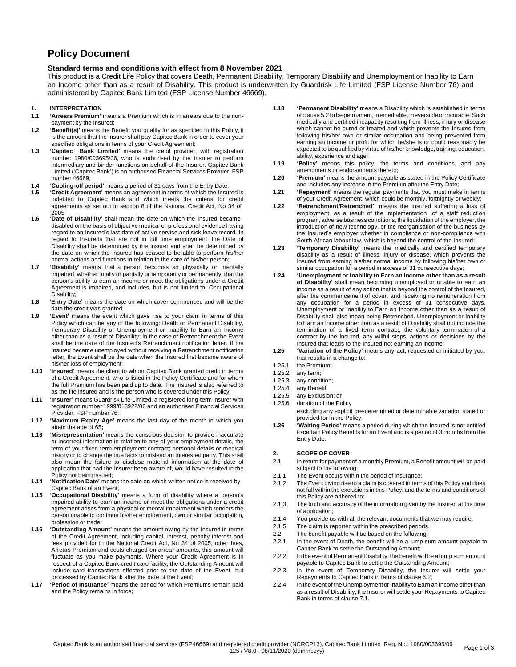# **Policy Document**

# **Standard terms and conditions with effect from 8 November 2021**

This product is a Credit Life Policy that covers Death, Permanent Disability, Temporary Disability and Unemployment or Inability to Earn an Income other than as a result of Disability. This product is underwritten by Guardrisk Life Limited (FSP License Number 76) and administered by Capitec Bank Limited (FSP License Number 46669).

# **1. INTERPRETATION**

- **1.1 'Arrears Premium'** means a Premium which is in arrears due to the nonpayment by the Insured;
- **1.2 'Benefit(s)'** means the Benefit you qualify for as specified in this Policy, it is the amount that the Insurer shall pay Capitec Bank in order to cover your specified obligations in terms of your Credit Agreement;
- **1.3 'Capitec Bank Limited'** means the credit provider, with registration number 1980/003695/06, who is authorised by the Insurer to perform intermediary and binder functions on behalf of the Insurer. Capitec Bank Limited ('Capitec Bank') is an authorised Financial Services Provider, FSP number 46669;
- **1.4 'Cooling-off period'** means a period of 31 days from the Entry Date;
- **1.5 'Credit Agreement'** means an agreement in terms of which the Insured is indebted to Capitec Bank and which meets the criteria for credit agreements as set out in section 8 of the National Credit Act, No 34 of 2005;
- **1.6 'Date of Disability'** shall mean the date on which the Insured became disabled on the basis of objective medical or professional evidence having regard to an Insured's last date of active service and sick leave record. In regard to Insureds that are not in full time employment, the Date of Disability shall be determined by the Insurer and shall be determined by the date on which the Insured has ceased to be able to perform his/her normal actions and functions in relation to the care of his/her person;
- **1.7 'Disability'** means that a person becomes so physically or mentally impaired, whether totally or partially or temporarily or permanently, that the person's ability to earn an income or meet the obligations under a Credit Agreement is impaired, and includes, but is not limited to, Occupational Disability;
- **1.8** '**Entry Date'** means the date on which cover commenced and will be the date the credit was granted;
- **1.9 'Event'** means the event which gave rise to your claim in terms of this Policy which can be any of the following: Death or Permanent Disability, Temporary Disability or Unemployment or Inability to Earn an Income other than as a result of Disability; In the case of Retrenchment the Event shall be the date of the Insured's Retrenchment notification letter. If the Insured became unemployed without receiving a Retrenchment notification letter, the Event shall be the date when the Insured first became aware of his/her loss of employment;
- **1.10 'Insured'** means the client to whom Capitec Bank granted credit in terms of a Credit Agreement, who is listed in the Policy Certificate and for whom the full Premium has been paid up to date. The Insured is also referred to as the life insured and is the person who is covered under this Policy;
- **1.11 'Insurer'** means Guardrisk Life Limited, a registered long-term insurer with registration number 1999/013922/06 and an authorised Financial Services Provider, FSP number 76;
- **1.12 'Maximum Expiry Age'** means the last day of the month in which you attain the age of 65**;**
- **1.13 'Misrepresentation'** means the conscious decision to provide inaccurate or incorrect information in relation to any of your employment details, the term of your fixed term employment contract; personal details or medical history or to change the true facts to mislead an interested party. This shall also mean the failure to disclose material information at the date of application that had the Insurer been aware of, would have resulted in the Policy not being issued;
- **1.14 'Notification Date'** means the date on which written notice is received by Capitec Bank of an Event;
- **1.15 'Occupational Disability'** means a form of disability where a person's impaired ability to earn an income or meet the obligations under a credit agreement arises from a physical or mental impairment which renders the person unable to continue his/her employment, own or similar occupation, profession or trade;
- **1.16 'Outstanding Amount'** means the amount owing by the Insured in terms of the Credit Agreement, including capital, interest, penalty interest and fees provided for in the National Credit Act, No 34 of 2005, other fees, Arrears Premium and costs charged on arrear amounts, this amount will fluctuate as you make payments. Where your Credit Agreement is in respect of a Capitec Bank credit card facility, the Outstanding Amount will include card transactions effected prior to the date of the Event, but processed by Capitec Bank after the date of the Event;
- **1.17 'Period of Insurance'** means the period for which Premiums remain paid and the Policy remains in force;
- **1.18 'Permanent Disability'** means a Disability which is established in terms of clause 5.2 to be permanent, irremediable, irreversible orincurable. Such medically and certified incapacity resulting from illness, injury or disease which cannot be cured or treated and which prevents the Insured from following his/her own or similar occupation and being prevented from earning an income or profit for which he/she is or could reasonably be expected to be qualified by virtue of his/her knowledge, training, education, ability, experience and age;
- **1.19 'Policy'** means this policy, the terms and conditions, and any amendments or endorsements thereto;
- **1.20 'Premium'** means the amount payable as stated in the Policy Certificate and includes any increase in the Premium after the Entry Date;
- **1.21 'Repayment'** means the regular payments that you must make in terms of your Credit Agreement, which could be monthly, fortnightly or weekly;
- **1.22 'Retrenchment/Retrenched'** means the Insured suffering a loss of employment, as a result of the implementation of a staff reduction program, adverse business conditions, the liquidation of the employer, the introduction of new technology, or the reorganisation of the business by the Insured's employer whether in compliance or non-compliance with South African labour law, which is beyond the control of the Insured;
- **1.23 'Temporary Disability'** means the medically and certified temporary disability as a result of illness, injury or disease, which prevents the Insured from earning his/her normal income by following his/her own or similar occupation for a period in excess of 31 consecutive days;
- **1.24 'Unemployment or Inability to Earn an Income other than as a result of Disability'** shall mean becoming unemployed or unable to earn an income as a result of any action that is beyond the control of the Insured, after the commencement of cover, and receiving no remuneration from any occupation for a period in excess of 31 consecutive days. Unemployment or Inability to Earn an Income other than as a result of Disability shall also mean being Retrenched. Unemployment or Inability to Earn an Income other than as a result of Disability shall not include the termination of a fixed term contract, the voluntary termination of a contract by the Insured, any willful steps, actions or decisions by the Insured that leads to the Insured not earning an income;
- **1.25 'Variation of the Policy'** means any act, requested or initiated by you, that results in a change to:
- 1.25.1 the Premium;
- 1.25.2 any term;
- 1.25.3 any condition;
- 1.25.4 any Benefit
- 1.25.5 any Exclusion; or
- 1.25.6 duration of the Policy excluding any explicit pre-determined or determinable variation stated or
	- provided for in the Policy;
- **1.26 'Waiting Period'** means a period during which the Insured is not entitled to certain Policy Benefits for an Event and is a period of 3 months from the Entry Date.

# **2. SCOPE OF COVER**

- 2.1 In return for payment of a monthly Premium, a Benefit amount will be paid subject to the following:
- 2.1.1 The Event occurs within the period of insurance;
- 2.1.2 The Event giving rise to a claim is covered in terms of this Policy and does not fall within the exclusions in this Policy; and the terms and conditions of this Policy are adhered to;
- 2.1.3 The truth and accuracy of the information given by the Insured at the time of application;
- 2.1.4 You provide us with all the relevant documents that we may require;
- 2.1.5 The claim is reported within the prescribed periods.
- 2.2 The benefit payable will be based on the following:
- 2.2.1 In the event of Death, the benefit will be a lump sum amount payable to Capitec Bank to settle the Outstanding Amount;
- 2.2.2 In the event of Permanent Disability, the benefit will be a lump sum amount payable to Capitec Bank to settle the Outstanding Amount;
- 2.2.3 In the event of Temporary Disability, the Insurer will settle your Repayments to Capitec Bank in terms of clause 6.2;
- 2.2.4 In the event of the Unemployment or Inability to Earn an Income other than as a result of Disability, the Insurer will settle your Repayments to Capitec Bank in terms of clause 7.1.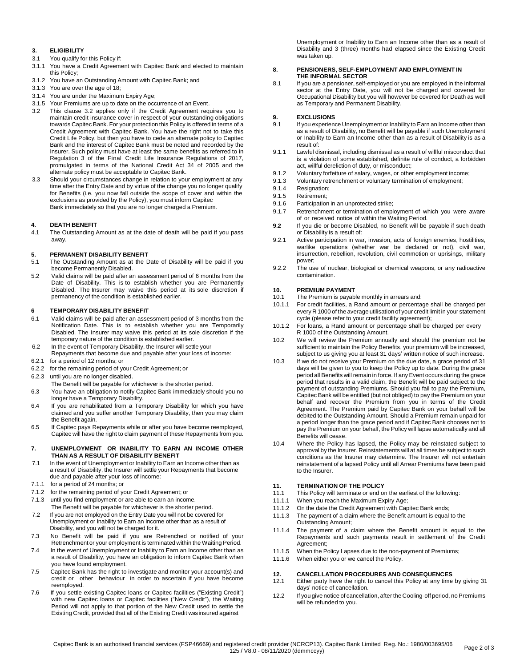# **3. ELIGIBILITY**

- 3.1 You qualify for this Policy if:
- 3.1.1 You have a Credit Agreement with Capitec Bank and elected to maintain this Policy;
- 3.1.2 You have an Outstanding Amount with Capitec Bank; and
- 3.1.3 You are over the age of 18;
- 3.1.4 You are under the Maximum Expiry Age;
- 3.1.5 Your Premiums are up to date on the occurrence of an Event.
- 3.2 This clause 3.2 applies only if the Credit Agreement requires you to maintain credit insurance cover in respect of your outstanding obligations towards Capitec Bank. For your protection this Policy is offered in terms of a Credit Agreement with Capitec Bank. You have the right not to take this Credit Life Policy, but then you have to cede an alternate policy to Capitec Bank and the interest of Capitec Bank must be noted and recorded by the Insurer. Such policy must have at least the same benefits as referred to in Regulation 3 of the Final Credit Life Insurance Regulations of 2017, promulgated in terms of the National Credit Act 34 of 2005 and the alternate policy must be acceptable to Capitec Bank.
- 3.3 Should your circumstances change in relation to your employment at any time after the Entry Date and by virtue of the change you no longer qualify for Benefits (i.e. you now fall outside the scope of cover and within the exclusions as provided by the Policy), you must inform Capitec Bank immediately so that you are no longer charged a Premium.

#### **4. DEATH BENEFIT**

4.1 The Outstanding Amount as at the date of death will be paid if you pass away.

### **5. PERMANENT DISABILITY BENEFIT**

- 5.1 The Outstanding Amount as at the Date of Disability will be paid if you become Permanently Disabled.
- 5.2 Valid claims will be paid after an assessment period of 6 months from the Date of Disability. This is to establish whether you are Permanently Disabled. The Insurer may waive this period at its sole discretion if permanency of the condition is established earlier.

### **6 TEMPORARY DISABILITY BENEFIT**

- 6.1 Valid claims will be paid after an assessment period of 3 months from the Notification Date. This is to establish whether you are Temporarily Disabled. The Insurer may waive this period at its sole discretion if the temporary nature of the condition is established earlier.
- 6.2 In the event of Temporary Disability, the Insurer will settle your
- Repayments that become due and payable after your loss of income: 6.2.1 for a period of 12 months; or
- 6.2.2 for the remaining period of your Credit Agreement; or
- 6.2.3 until you are no longer disabled.
- The Benefit will be payable for whichever is the shorter period.
- 6.3 You have an obligation to notify Capitec Bank immediately should you no longer have a Temporary Disability.
- 6.4 If you are rehabilitated from a Temporary Disability for which you have claimed and you suffer another Temporary Disability, then you may claim the Benefit again.
- 6.5 If Capitec pays Repayments while or after you have become reemployed, Capitec will have the right to claim payment of these Repayments from you.

### **7. UNEMPLOYMENT OR INABILITY TO EARN AN INCOME OTHER THAN AS A RESULT OF DISABILITY BENEFIT**

- 7.1 In the event of Unemployment or Inability to Earn an Income other than as a result of Disability, the Insurer will settle your Repayments that become due and payable after your loss of income:
- 7.1.1 for a period of 24 months; or
- 7.1.2 for the remaining period of your Credit Agreement; or
- 7.1.3 until you find employment or are able to earn an income. The Benefit will be payable for whichever is the shorter period.
- 7.2 If you are not employed on the Entry Date you will not be covered for Unemployment or Inability to Earn an Income other than as a result of Disability, and you will not be charged for it.
- 7.3 No Benefit will be paid if you are Retrenched or notified of your Retrenchment or your employment is terminated within the Waiting Period.
- 7.4 In the event of Unemployment or Inability to Earn an Income other than as a result of Disability, you have an obligation to inform Capitec Bank when you have found employment.
- 7.5 Capitec Bank has the right to investigate and monitor your account(s) and credit or other behaviour in order to ascertain if you have become reemployed.
- 7.6 If you settle existing Capitec loans or Capitec facilities ("Existing Credit") with new Capitec loans or Capitec facilities ("New Credit"), the Waiting Period will not apply to that portion of the New Credit used to settle the Existing Credit, provided that all of the Existing Credit was insured against

Unemployment or Inability to Earn an Income other than as a result of Disability and 3 (three) months had elapsed since the Existing Credit was taken up.

### **8. PENSIONERS, SELF-EMPLOYMENT AND EMPLOYMENT IN THE INFORMAL SECTOR**

8.1 If you are a pensioner, self-employed or you are employed in the informal sector at the Entry Date, you will not be charged and covered for Occupational Disability but you will however be covered for Death as well as Temporary and Permanent Disability.

# **9. EXCLUSIONS**<br>9.1 If you experiend

- If you experience Unemployment or Inability to Earn an Income other than as a result of Disability, no Benefit will be payable if such Unemployment or Inability to Earn an Income other than as a result of Disability is as a result of:
- 9.1.1 Lawful dismissal, including dismissal as a result of willful misconduct that is a violation of some established, definite rule of conduct, a forbidden act, willful dereliction of duty, or misconduct;
- 9.1.2 Voluntary forfeiture of salary, wages, or other employment income;
- 9.1.3 Voluntary retrenchment or voluntary termination of employment;
- 9.1.4 Resignation;
- 9.1.5 Retirement;
- 9.1.6 Participation in an unprotected strike;
- 9.1.7 Retrenchment or termination of employment of which you were aware of or received notice of within the Waiting Period.
- **9.2** If you die or become Disabled, no Benefit will be payable if such death or Disability is a result of:
- 9.2.1 Active participation in war, invasion, acts of foreign enemies, hostilities, warlike operations (whether war be declared or not), civil war, insurrection, rebellion, revolution, civil commotion or uprisings, military power;
- 9.2.2 The use of nuclear, biological or chemical weapons, or any radioactive contamination.

### **10. PREMIUM PAYMENT**

- 10.1 The Premium is payable monthly in arrears and:
- 10.1.1 For credit facilities, a Rand amount or percentage shall be charged per every R 1000 of the average utilisation of your credit limit in your statement cycle (please refer to your credit facility agreement);
- 10.1.2 For loans, a Rand amount or percentage shall be charged per every R 1000 of the Outstanding Amount.
- 10.2 We will review the Premium annually and should the premium not be sufficient to maintain the Policy Benefits, your premium will be increased, subject to us giving you at least 31 days' written notice of such increase.
- 10.3 If we do not receive your Premium on the due date, a grace period of 31 days will be given to you to keep the Policy up to date. During the grace period all Benefits will remain in force. If any Event occurs during the grace period that results in a valid claim, the Benefit will be paid subject to the payment of outstanding Premiums. Should you fail to pay the Premium, Capitec Bank will be entitled (but not obliged) to pay the Premium on your behalf and recover the Premium from you in terms of the Credit Agreement. The Premium paid by Capitec Bank on your behalf will be debited to the Outstanding Amount. Should a Premium remain unpaid for a period longer than the grace period and if Capitec Bank chooses not to pay the Premium on your behalf, the Policy will lapse automatically and all Benefits will cease.
- 10.4 Where the Policy has lapsed, the Policy may be reinstated subject to approval by the Insurer. Reinstatements will at all times be subject to such conditions as the Insurer may determine. The Insurer will not entertain reinstatement of a lapsed Policy until all Arrear Premiums have been paid to the Insurer.

# **11. TERMINATION OF THE POLICY**

- 11.1 This Policy will terminate or end on the earliest of the following:
- 11.1.1 When you reach the Maximum Expiry Age;
- 11.1.2 On the date the Credit Agreement with Capitec Bank ends;
- 11.1.3 The payment of a claim where the Benefit amount is equal to the Outstanding Amount;
- 11.1.4 The payment of a claim where the Benefit amount is equal to the Repayments and such payments result in settlement of the Credit Agreement;
- 11.1.5 When the Policy Lapses due to the non-payment of Premiums;
- 11.1.6 When either you or we cancel the Policy.

#### **12. CANCELLATION PROCEDURES AND CONSEQUENCES**

- 12.1 Either party have the right to cancel this Policy at any time by giving 31 days' notice of cancellation.
- 12.2 If you give notice of cancellation, after the Cooling-off period, no Premiums will be refunded to you.